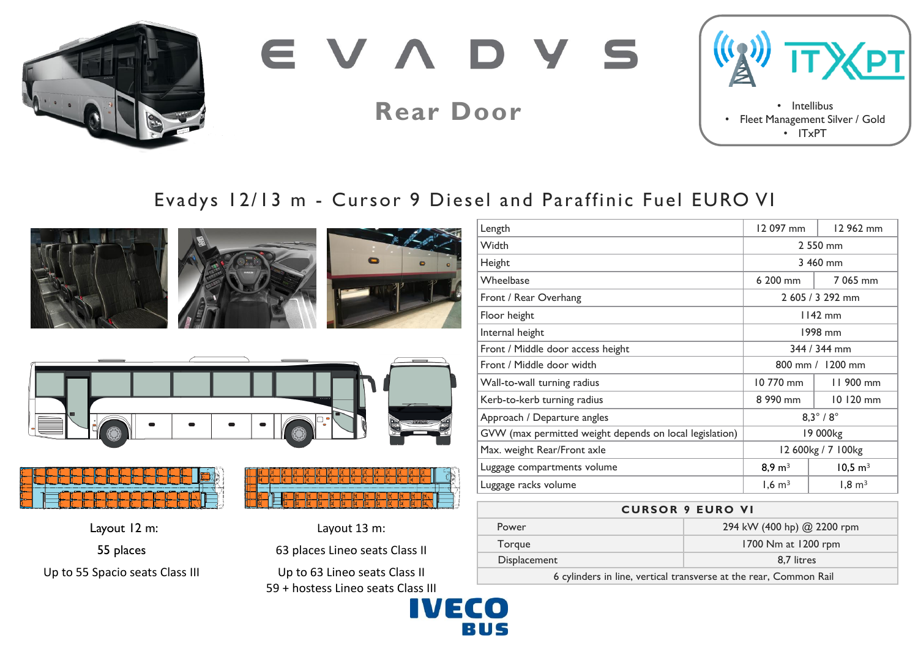

EVADY

**Rear Door**



# Evadys 12/13 m - Cursor 9 Diesel and Paraffinic Fuel EURO VI













55 places Up to 55 Spacio seats Class III



Layout 13 m:

63 places Lineo seats Class II

Up to 63 Lineo seats Class II 59 + hostess Lineo seats Class III



## **CURSOR 9 EURO VI**

| Power        | 294 kW (400 hp) @ 2200 rpm |
|--------------|----------------------------|
| Torgue       | 1700 Nm at 1200 rpm        |
| Displacement | 8.7 litres                 |
|              |                            |

6 cylinders in line, vertical transverse at the rear, Common Rail